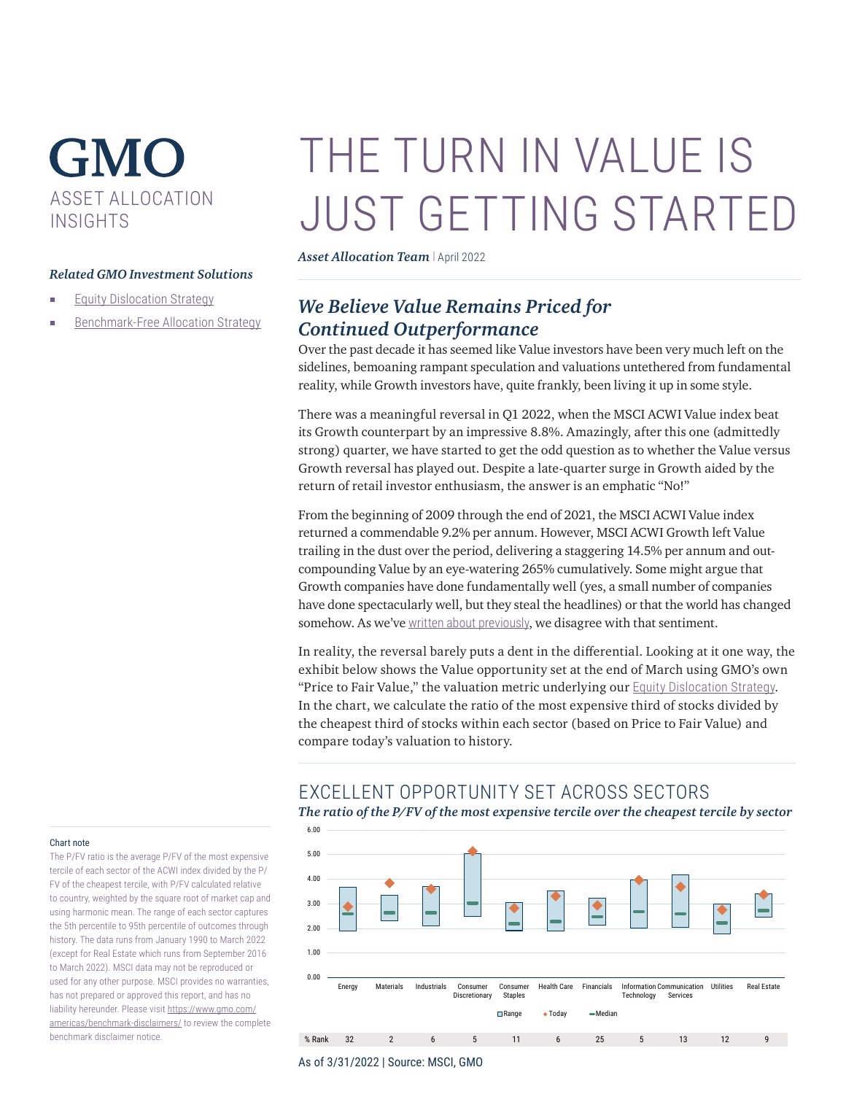## **GMO** ASSET ALLOCATION INSIGHTS

### *Related GMO Investment Solutions*

- [Equity Dislocation Strategy](https://www.gmo.com/americas/product-index-page/alternatives/equity-dislocation-strategy/)
- [Benchmark-Free Allocation Strategy](https://www.gmo.com/americas/product-index-page/multi-asset-class/benchmark-free-allocation-strategy/)

# THE TURN IN VALUE IS JUST GETTING STARTED

*Asset Allocation Team* | April 2022

## *We Believe Value Remains Priced for Continued Outperformance*

Over the past decade it has seemed like Value investors have been very much left on the sidelines, bemoaning rampant speculation and valuations untethered from fundamental reality, while Growth investors have, quite frankly, been living it up in some style.

There was a meaningful reversal in Q1 2022, when the MSCI ACWI Value index beat its Growth counterpart by an impressive 8.8%. Amazingly, after this one (admittedly strong) quarter, we have started to get the odd question as to whether the Value versus Growth reversal has played out. Despite a late-quarter surge in Growth aided by the return of retail investor enthusiasm, the answer is an emphatic "No!"

From the beginning of 2009 through the end of 2021, the MSCI ACWI Value index returned a commendable 9.2% per annum. However, MSCI ACWI Growth left Value trailing in the dust over the period, delivering a staggering 14.5% per annum and outcompounding Value by an eye-watering 265% cumulatively. Some might argue that Growth companies have done fundamentally well (yes, a small number of companies have done spectacularly well, but they steal the headlines) or that the world has changed somehow. As we've [written about previously](https://www.gmo.com/americas/research-library/2q-2021-gmo-quarterly-letter/), we disagree with that sentiment.

In reality, the reversal barely puts a dent in the differential. Looking at it one way, the exhibit below shows the Value opportunity set at the end of March using GMO's own "Price to Fair Value," the valuation metric underlying our [Equity Dislocation Strategy](https://www.gmo.com/americas/product-index-page/alternatives/equity-dislocation-strategy/). In the chart, we calculate the ratio of the most expensive third of stocks divided by the cheapest third of stocks within each sector (based on Price to Fair Value) and compare today's valuation to history.

## EXCELLENT OPPORTUNITY SET ACROSS SECTORS

*The ratio of the P/FV of the most expensive tercile over the cheapest tercile by sector*



#### Chart note

The P/FV ratio is the average P/FV of the most expensive tercile of each sector of the ACWI index divided by the P/ FV of the cheapest tercile, with P/FV calculated relative to country, weighted by the square root of market cap and using harmonic mean. The range of each sector captures the 5th percentile to 95th percentile of outcomes through history. The data runs from January 1990 to March 2022 (except for Real Estate which runs from September 2016 to March 2022). MSCI data may not be reproduced or used for any other purpose. MSCI provides no warranties, has not prepared or approved this report, and has no liability hereunder. Please visit [https://www.gmo.com/](https://www.gmo.com/americas/benchmark-disclaimers/) [americas/benchmark-disclaimers/](https://www.gmo.com/americas/benchmark-disclaimers/) to review the complete benchmark disclaimer notice.

As of 3/31/2022 | Source: MSCI, GMO